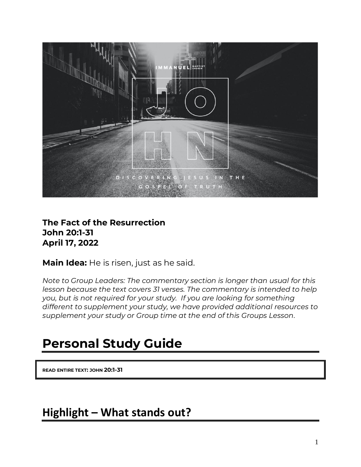

**The Fact of the Resurrection John 20:1-31 April 17, 2022**

**Main Idea:** He is risen, just as he said.

*Note to Group Leaders: The commentary section is longer than usual for this lesson because the text covers 31 verses. The commentary is intended to help you, but is not required for your study. If you are looking for something different to supplement your study, we have provided additional resources to supplement your study or Group time at the end of this Groups Lesson.* 

# **Personal Study Guide**

**READ ENTIRE TEXT: JOHN 20:1-31**

## **Highlight – What stands out?**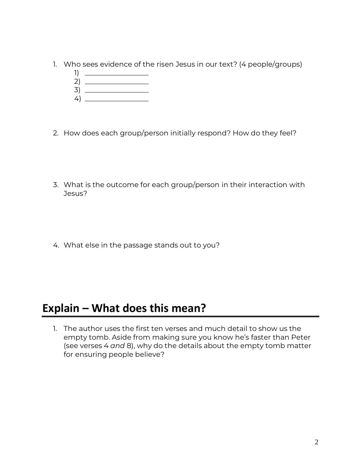- 1. Who sees evidence of the risen Jesus in our text? (4 people/groups)
	- 1) \_\_\_\_\_\_\_\_\_\_\_\_\_\_\_\_\_\_ 2) \_\_\_\_\_\_\_\_\_\_\_\_\_\_\_\_\_\_ 3) \_\_\_\_\_\_\_\_\_\_\_\_\_\_\_\_\_\_
	- 4) \_\_\_\_\_\_\_\_\_\_\_\_\_\_\_\_\_\_
- 2. How does each group/person initially respond? How do they feel?
- 3. What is the outcome for each group/person in their interaction with Jesus?
- 4. What else in the passage stands out to you?

## **Explain – What does this mean?**

1. The author uses the first ten verses and much detail to show us the empty tomb. Aside from making sure you know he's faster than Peter (see verses 4 *and* 8), why do the details about the empty tomb matter for ensuring people believe?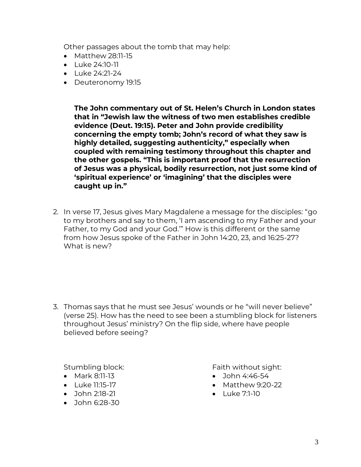Other passages about the tomb that may help:

- Matthew 28:11-15
- Luke 24:10-11
- Luke 24:21-24
- Deuteronomy 19:15

**The John commentary out of St. Helen's Church in London states that in "Jewish law the witness of two men establishes credible evidence (Deut. 19:15). Peter and John provide credibility concerning the empty tomb; John's record of what they saw is highly detailed, suggesting authenticity," especially when coupled with remaining testimony throughout this chapter and the other gospels. "This is important proof that the resurrection of Jesus was a physical, bodily resurrection, not just some kind of 'spiritual experience' or 'imagining' that the disciples were caught up in."**

2. In verse 17, Jesus gives Mary Magdalene a message for the disciples: "go to my brothers and say to them, 'I am ascending to my Father and your Father, to my God and your God.'" How is this different or the same from how Jesus spoke of the Father in John 14:20, 23, and 16:25-27? What is new?

3. Thomas says that he must see Jesus' wounds or he "will never believe" (verse 25). How has the need to see been a stumbling block for listeners throughout Jesus' ministry? On the flip side, where have people believed before seeing?

Stumbling block:

- Mark 8:11-13
- Luke 11:15-17
- John 2:18-21
- John 6:28-30

Faith without sight:

- John 4:46-54
- Matthew 9:20-22
- Luke 7:1-10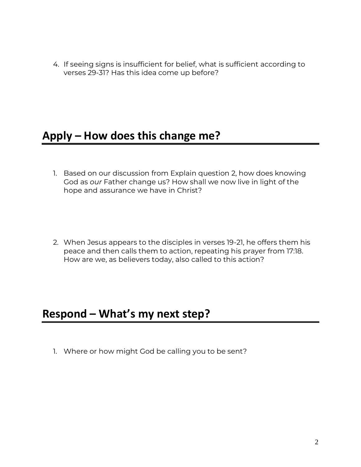4. If seeing signs is insufficient for belief, what is sufficient according to verses 29-31? Has this idea come up before?

## **Apply – How does this change me?**

- 1. Based on our discussion from Explain question 2, how does knowing God as *our* Father change us? How shall we now live in light of the hope and assurance we have in Christ?
- 2. When Jesus appears to the disciples in verses 19-21, he offers them his peace and then calls them to action, repeating his prayer from 17:18. How are we, as believers today, also called to this action?

## **Respond – What's my next step?**

1. Where or how might God be calling you to be sent?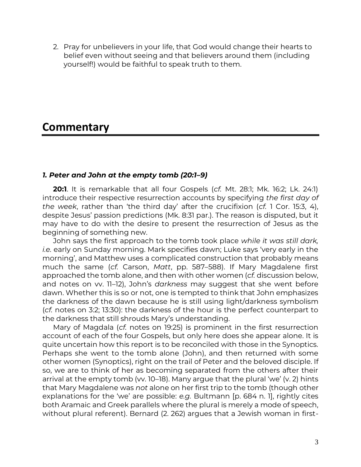2. Pray for unbelievers in your life, that God would change their hearts to belief even without seeing and that believers around them (including yourself!) would be faithful to speak truth to them.

### **Commentary**

#### *1. Peter and John at the empty tomb (20:1–9)*

**20:1**. It is remarkable that all four Gospels (*cf.* Mt. 28:1; Mk. 16:2; Lk. 24:1) introduce their respective resurrection accounts by specifying *the first day of the week*, rather than 'the third day' after the crucifixion (*cf.* 1 Cor. 15:3, 4), despite Jesus' passion predictions (Mk. 8:31 par.). The reason is disputed, but it may have to do with the desire to present the resurrection of Jesus as the beginning of something new.

John says the first approach to the tomb took place *while it was still dark, i.e.* early on Sunday morning. Mark specifies dawn; Luke says 'very early in the morning', and Matthew uses a complicated construction that probably means much the same (*cf.* Carson, *Matt*, pp. 587–588). If Mary Magdalene first approached the tomb alone, and then with other women (*cf.* discussion below, and notes on vv. 11–12), John's *darkness* may suggest that she went before dawn. Whether this is so or not, one is tempted to think that John emphasizes the darkness of the dawn because he is still using light/darkness symbolism (*cf.* notes on 3:2; 13:30): the darkness of the hour is the perfect counterpart to the darkness that still shrouds Mary's understanding.

Mary of Magdala (*cf.* notes on 19:25) is prominent in the first resurrection account of each of the four Gospels, but only here does she appear alone. It is quite uncertain how this report is to be reconciled with those in the Synoptics. Perhaps she went to the tomb alone (John), and then returned with some other women (Synoptics), right on the trail of Peter and the beloved disciple. If so, we are to think of her as becoming separated from the others after their arrival at the empty tomb (vv. 10–18). Many argue that the plural 'we' (v. 2) hints that Mary Magdalene was *not* alone on her first trip to the tomb (though other explanations for the 'we' are possible: *e.g.* Bultmann [p. 684 n. 1], rightly cites both Aramaic and Greek parallels where the plural is merely a mode of speech, without plural referent). Bernard (2. 262) argues that a Jewish woman in first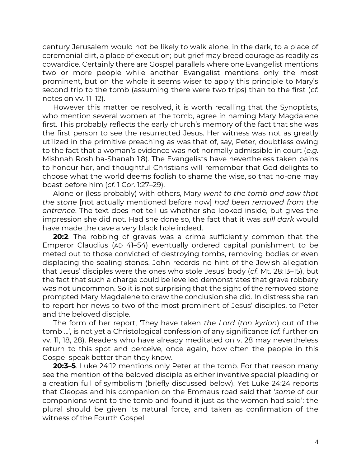century Jerusalem would not be likely to walk alone, in the dark, to a place of ceremonial dirt, a place of execution; but grief may breed courage as readily as cowardice. Certainly there are Gospel parallels where one Evangelist mentions two or more people while another Evangelist mentions only the most prominent, but on the whole it seems wiser to apply this principle to Mary's second trip to the tomb (assuming there were two trips) than to the first (*cf.* notes on vv. 11–12).

However this matter be resolved, it is worth recalling that the Synoptists, who mention several women at the tomb, agree in naming Mary Magdalene first. This probably reflects the early church's memory of the fact that she was the first person to see the resurrected Jesus. Her witness was not as greatly utilized in the primitive preaching as was that of, say, Peter, doubtless owing to the fact that a woman's evidence was not normally admissible in court (*e.g.* Mishnah Rosh ha-Shanah 1:8). The Evangelists have nevertheless taken pains to honour her, and thoughtful Christians will remember that God delights to choose what the world deems foolish to shame the wise, so that no-one may boast before him (*cf.* 1 Cor. 1:27–29).

Alone or (less probably) with others, Mary *went to the tomb and saw that the stone* [not actually mentioned before now] *had been removed from the entrance*. The text does not tell us whether she looked inside, but gives the impression she did not. Had she done so, the fact that it was *still dark* would have made the cave a very black hole indeed.

**20:2**. The robbing of graves was a crime sufficiently common that the Emperor Claudius (AD 41–54) eventually ordered capital punishment to be meted out to those convicted of destroying tombs, removing bodies or even displacing the sealing stones. John records no hint of the Jewish allegation that Jesus' disciples were the ones who stole Jesus' body (*cf.* Mt. 28:13–15), but the fact that such a charge could be levelled demonstrates that grave robbery was not uncommon. So it is not surprising that the sight of the removed stone prompted Mary Magdalene to draw the conclusion she did. In distress she ran to report her news to two of the most prominent of Jesus' disciples, to Peter and the beloved disciple.

The form of her report, 'They have taken *the Lord* (*ton kyrion*) out of the tomb …', is not yet a Christological confession of any significance (*cf.* further on vv. 11, 18, 28). Readers who have already meditated on v. 28 may nevertheless return to this spot and perceive, once again, how often the people in this Gospel speak better than they know.

**20:3–5**. Luke 24:12 mentions only Peter at the tomb. For that reason many see the mention of the beloved disciple as either inventive special pleading or a creation full of symbolism (briefly discussed below). Yet Luke 24:24 reports that Cleopas and his companion on the Emmaus road said that '*some* of our companions went to the tomb and found it just as the women had said': the plural should be given its natural force, and taken as confirmation of the witness of the Fourth Gospel.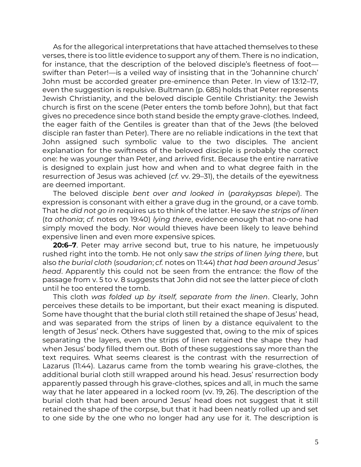As for the allegorical interpretations that have attached themselves to these verses, there is too little evidence to support any of them. There is no indication, for instance, that the description of the beloved disciple's fleetness of foot swifter than Peter!—is a veiled way of insisting that in the 'Johannine church' John must be accorded greater pre-eminence than Peter. In view of 13:12–17, even the suggestion is repulsive. Bultmann (p. 685) holds that Peter represents Jewish Christianity, and the beloved disciple Gentile Christianity: the Jewish church is first on the scene (Peter enters the tomb before John), but that fact gives no precedence since both stand beside the empty grave-clothes. Indeed, the eager faith of the Gentiles is greater than that of the Jews (the beloved disciple ran faster than Peter). There are no reliable indications in the text that John assigned such symbolic value to the two disciples. The ancient explanation for the swiftness of the beloved disciple is probably the correct one: he was younger than Peter, and arrived first. Because the entire narrative is designed to explain just how and when and to what degree faith in the resurrection of Jesus was achieved (*cf.* vv. 29–31), the details of the eyewitness are deemed important.

The beloved disciple *bent over and looked in* (*parakypsas blepei*). The expression is consonant with either a grave dug in the ground, or a cave tomb. That he *did not go in* requires us to think of the latter. He saw *the strips of linen* (*ta othonia*; *cf.* notes on 19:40) *lying there*, evidence enough that no-one had simply moved the body. Nor would thieves have been likely to leave behind expensive linen and even more expensive spices.

**20:6–7**. Peter may arrive second but, true to his nature, he impetuously rushed right into the tomb. He not only saw *the strips of linen lying there*, but also *the burial cloth* (*soudarion*; *cf.* notes on 11:44) *that had been around Jesus' head*. Apparently this could not be seen from the entrance: the flow of the passage from v. 5 to v. 8 suggests that John did not see the latter piece of cloth until he too entered the tomb.

This cloth *was folded up by itself, separate from the linen*. Clearly, John perceives these details to be important, but their exact meaning is disputed. Some have thought that the burial cloth still retained the shape of Jesus' head, and was separated from the strips of linen by a distance equivalent to the length of Jesus' neck. Others have suggested that, owing to the mix of spices separating the layers, even the strips of linen retained the shape they had when Jesus' body filled them out. Both of these suggestions say more than the text requires. What seems clearest is the contrast with the resurrection of Lazarus (11:44). Lazarus came from the tomb wearing his grave-clothes, the additional burial cloth still wrapped around his head. Jesus' resurrection body apparently passed through his grave-clothes, spices and all, in much the same way that he later appeared in a locked room (vv. 19, 26). The description of the burial cloth that had been around Jesus' head does not suggest that it still retained the shape of the corpse, but that it had been neatly rolled up and set to one side by the one who no longer had any use for it. The description is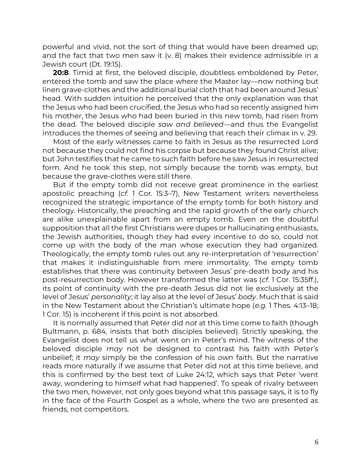powerful and vivid, not the sort of thing that would have been dreamed up; and the fact that two men saw it (v. 8) makes their evidence admissible in a Jewish court (Dt. 19:15).

**20:8**. Timid at first, the beloved disciple, doubtless emboldened by Peter, entered the tomb and saw the place where the Master lay—now nothing but linen grave-clothes and the additional burial cloth that had been around Jesus' head. With sudden intuition he perceived that the only explanation was that the Jesus who had been crucified, the Jesus who had so recently assigned him his mother, the Jesus who had been buried in this new tomb, had risen from the dead. The beloved disciple *saw and believed*—and thus the Evangelist introduces the themes of seeing and believing that reach their climax in v. 29.

Most of the early witnesses came to faith in Jesus as the resurrected Lord not because they could not find his corpse but because they found Christ alive; but John testifies that he came to such faith before he saw Jesus in resurrected form. And he took this step, not simply because the tomb was empty, but because the grave-clothes were still there.

But if the empty tomb did not receive great prominence in the earliest apostolic preaching (*cf.* 1 Cor. 15:3–7), New Testament writers nevertheless recognized the strategic importance of the empty tomb for both history and theology. Historically, the preaching and the rapid growth of the early church are alike unexplainable apart from an empty tomb. Even on the doubtful supposition that all the first Christians were dupes or hallucinating enthusiasts, the Jewish authorities, though they had every incentive to do so, could not come up with the body of the man whose execution they had organized. Theologically, the empty tomb rules out any re-interpretation of 'resurrection' that makes it indistinguishable from mere immortality. The empty tomb establishes that there was continuity between Jesus' pre-death body and his post-resurrection body. However transformed the latter was (*cf.* 1 Cor. 15:35ff.), its point of continuity with the pre-death Jesus did not lie exclusively at the level of Jesus' *personality*; it lay also at the level of Jesus' *body*. Much that is said in the New Testament about the Christian's ultimate hope (*e.g.* 1 Thes. 4:13–18; 1 Cor. 15) is incoherent if this point is not absorbed.

It is normally assumed that Peter did *not* at this time come to faith (though Bultmann, p. 684, insists that both disciples believed). Strictly speaking, the Evangelist does not tell us what went on in Peter's mind. The witness of the beloved disciple *may* not be designed to contrast his faith with Peter's unbelief; it *may* simply be the confession of his *own* faith. But the narrative reads more naturally if we assume that Peter did not at this time believe, and this is confirmed by the best text of Luke 24:12, which says that Peter 'went away, wondering to himself what had happened'. To speak of rivalry between the two men, however, not only goes beyond what this passage says, it is to fly in the face of the Fourth Gospel as a whole, where the two are presented as friends, not competitors.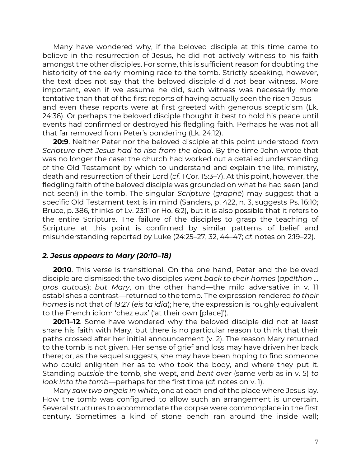Many have wondered why, if the beloved disciple at this time came to believe in the resurrection of Jesus, he did not actively witness to his faith amongst the other disciples. For some, this is sufficient reason for doubting the historicity of the early morning race to the tomb. Strictly speaking, however, the text does not say that the beloved disciple did *not* bear witness. More important, even if we assume he did, such witness was necessarily more tentative than that of the first reports of having actually seen the risen Jesus and even these reports were at first greeted with generous scepticism (Lk. 24:36). Or perhaps the beloved disciple thought it best to hold his peace until events had confirmed or destroyed his fledgling faith. Perhaps he was not all that far removed from Peter's pondering (Lk. 24:12).

**20:9**. Neither Peter nor the beloved disciple at this point understood *from Scripture that Jesus had to rise from the dead*. By the time John wrote that was no longer the case: the church had worked out a detailed understanding of the Old Testament by which to understand and explain the life, ministry, death and resurrection of their Lord (*cf.* 1 Cor. 15:3–7). At this point, however, the fledgling faith of the beloved disciple was grounded on what he had seen (and not seen!) in the tomb. The singular *Scripture* (*graphē*) may suggest that a specific Old Testament text is in mind (Sanders, p. 422, n. 3, suggests Ps. 16:10; Bruce, p. 386, thinks of Lv. 23:11 or Ho. 6:2), but it is also possible that it refers to the entire Scripture. The failure of the disciples to grasp the teaching of Scripture at this point is confirmed by similar patterns of belief and misunderstanding reported by Luke (24:25–27, 32, 44–47; *cf.* notes on 2:19–22).

#### *2. Jesus appears to Mary (20:10–18)*

**20:10**. This verse is transitional. On the one hand, Peter and the beloved disciple are dismissed: the two disciples *went back to their homes* (*apēlthon … pros autous*); *but Mary*, on the other hand—the mild adversative in v. 11 establishes a contrast—returned to the tomb. The expression rendered *to their homes* is not that of 19:27 (*eis ta idia*); here, the expression is roughly equivalent to the French idiom 'chez eux' ('at their own [place]').

**20:11–12**. Some have wondered why the beloved disciple did not at least share his faith with Mary, but there is no particular reason to think that their paths crossed after her initial announcement (v. 2). The reason Mary returned to the tomb is not given. Her sense of grief and loss may have driven her back there; or, as the sequel suggests, she may have been hoping to find someone who could enlighten her as to who took the body, and where they put it. Standing *outside* the tomb, she wept, and *bent over* (same verb as in v. 5) *to look into the tomb*—perhaps for the first time (*cf.* notes on v. 1).

Mary *saw two angels in white*, one at each end of the place where Jesus lay. How the tomb was configured to allow such an arrangement is uncertain. Several structures to accommodate the corpse were commonplace in the first century. Sometimes a kind of stone bench ran around the inside wall;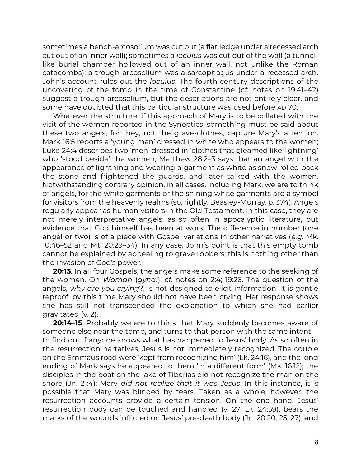sometimes a bench-arcosolium was cut out (a flat ledge under a recessed arch cut out of an inner wall); sometimes a *loculus* was cut out of the wall (a tunnellike burial chamber hollowed out of an inner wall, not unlike the Roman catacombs); a trough-arcosolium was a sarcophagus under a recessed arch. John's account rules out the *loculus*. The fourth-century descriptions of the uncovering of the tomb in the time of Constantine (*cf.* notes on 19:41–42) suggest a trough-arcosolium, but the descriptions are not entirely clear, and some have doubted that this particular structure was used before AD 70.

Whatever the structure, if this approach of Mary is to be collated with the visit of the women reported in the Synoptics, something must be said about these two angels; for they, not the grave-clothes, capture Mary's attention. Mark 16:5 reports a 'young man' dressed in white who appears to the women; Luke 24:4 describes two 'men' dressed in 'clothes that gleamed like lightning' who 'stood beside' the women; Matthew 28:2–3 says that an angel with the appearance of lightning and wearing a garment as white as snow rolled back the stone and frightened the guards, and later talked with the women. Notwithstanding contrary opinion, in all cases, including Mark, we are to think of angels, for the white garments or the shining white garments are a symbol for visitors from the heavenly realms (so, rightly, Beasley-Murray, p. 374). Angels regularly appear as human visitors in the Old Testament. In this case, they are not merely interpretative angels, as so often in apocalyptic literature, but evidence that God himself has been at work. The difference in number (one angel or two) is of a piece with Gospel variations in other narratives (*e.g.* Mk. 10:46–52 and Mt. 20:29–34). In any case, John's point is that this empty tomb cannot be explained by appealing to grave robbers; this is nothing other than the invasion of God's power.

**20:13**. In all four Gospels, the angels make some reference to the seeking of the women. On *Woman* (*gynai*), *cf.* notes on 2:4; 19:26. The question of the angels, *why are you crying*?, is not designed to elicit information. It is gentle reproof: by this time Mary should not have been crying. Her response shows she has still not transcended the explanation to which she had earlier gravitated (v. 2).

**20:14–15**. Probably we are to think that Mary suddenly becomes aware of someone else near the tomb, and turns to that person with the same intent to find out if anyone knows what has happened to Jesus' body. As so often in the resurrection narratives, Jesus is not immediately recognized. The couple on the Emmaus road were 'kept from recognizing him' (Lk. 24:16), and the long ending of Mark says he appeared to them 'in a different form' (Mk. 16:12); the disciples in the boat on the lake of Tiberias did not recognize the man on the shore (Jn. 21:4); Mary *did not realize that it was Jesus*. In this instance, it is possible that Mary was blinded by tears. Taken as a whole, however, the resurrection accounts provide a certain tension. On the one hand, Jesus' resurrection body can be touched and handled (v. 27; Lk. 24:39), bears the marks of the wounds inflicted on Jesus' pre-death body (Jn. 20:20, 25, 27), and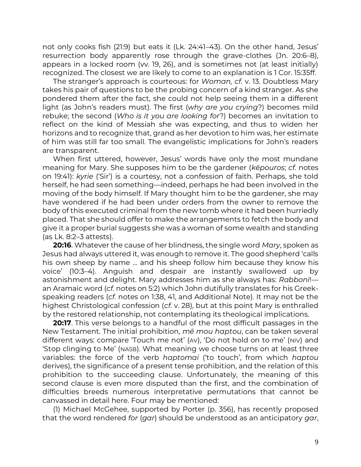not only cooks fish (21:9) but eats it (Lk. 24:41–43). On the other hand, Jesus' resurrection body apparently rose through the grave-clothes (Jn. 20:6–8), appears in a locked room (vv. 19, 26), and is sometimes not (at least initially) recognized. The closest we are likely to come to an explanation is 1 Cor. 15:35ff.

The stranger's approach is courteous: for *Woman, cf.* v. 13. Doubtless Mary takes his pair of questions to be the probing concern of a kind stranger. As she pondered them after the fact, she could not help seeing them in a different light (as John's readers must). The first (*why are you crying*?) becomes mild rebuke; the second (*Who is it you are looking for*?) becomes an invitation to reflect on the kind of Messiah she was expecting, and thus to widen her horizons and to recognize that, grand as her devotion to him was, her estimate of him was still far too small. The evangelistic implications for John's readers are transparent.

When first uttered, however, Jesus' words have only the most mundane meaning for Mary. She supposes him to be the gardener (*kēpouros*; *cf.* notes on 19:41): *kyrie* ('Sir') is a courtesy, not a confession of faith. Perhaps, she told herself, he had seen something—indeed, perhaps he had been involved in the moving of the body himself. If Mary thought him to be the gardener, she may have wondered if he had been under orders from the owner to remove the body of this executed criminal from the new tomb where it had been hurriedly placed. That she should offer to make the arrangements to fetch the body and give it a proper burial suggests she was a woman of some wealth and standing (as Lk. 8:2–3 attests).

**20:16**. Whatever the cause of her blindness, the single word *Mary*, spoken as Jesus had always uttered it, was enough to remove it. The good shepherd 'calls his own sheep by name … and his sheep follow him because they know his voice' (10:3–4). Anguish and despair are instantly swallowed up by astonishment and delight. Mary addresses him as she always has: *Rabboni*! an Aramaic word (*cf.* notes on 5:2) which John dutifully translates for his Greekspeaking readers (*cf.* notes on 1:38, 41, and Additional Note). It may not be the highest Christological confession (*cf.* v. 28), but at this point Mary is enthralled by the restored relationship, not contemplating its theological implications.

**20:17**. This verse belongs to a handful of the most difficult passages in the New Testament. The initial prohibition, *mē mou haptou*, can be taken several different ways: compare 'Touch me not' (AV), 'Do not hold on to me' (NIV) and 'Stop clinging to Me' (NASB). What meaning we choose turns on at least three variables: the force of the verb *haptomai* ('to touch', from which *haptou* derives), the significance of a present tense prohibition, and the relation of this prohibition to the succeeding clause. Unfortunately, the meaning of this second clause is even more disputed than the first, and the combination of difficulties breeds numerous interpretative permutations that cannot be canvassed in detail here. Four may be mentioned:

(1) Michael McGehee, supported by Porter (p. 356), has recently proposed that the word rendered *for* (*gar*) should be understood as an anticipatory *gar*,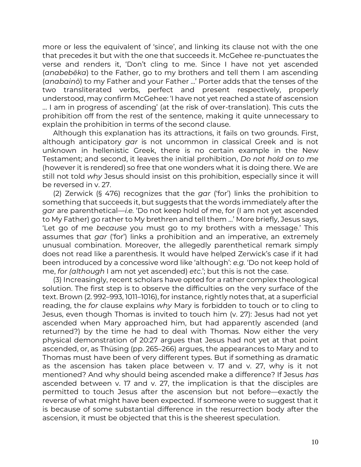more or less the equivalent of 'since', and linking its clause not with the one that precedes it but with the one that succeeds it. McGehee re-punctuates the verse and renders it, 'Don't cling to me. Since I have not yet ascended (*anabebēka*) to the Father, go to my brothers and tell them I am ascending (*anabainō*) to my Father and your Father …' Porter adds that the tenses of the two transliterated verbs, perfect and present respectively, properly understood, may confirm McGehee: 'I have not yet reached a state of ascension … I am in progress of ascending' (at the risk of over-translation). This cuts the prohibition off from the rest of the sentence, making it quite unnecessary to explain the prohibition in terms of the second clause.

Although this explanation has its attractions, it fails on two grounds. First, although anticipatory *gar* is not uncommon in classical Greek and is not unknown in hellenistic Greek, there is no certain example in the New Testament; and second, it leaves the initial prohibition, *Do not hold on to me* (however it is rendered) so free that one wonders what it is doing there. We are still not told *why* Jesus should insist on this prohibition, especially since it will be reversed in v. 27.

(2) Zerwick (§ 476) recognizes that the *gar* ('for') links the prohibition to something that succeeds it, but suggests that the words immediately after the *gar* are parenthetical—*i.e.* 'Do not keep hold of me, for (I am not yet ascended to My Father) go rather to My brethren and tell them …' More briefly, Jesus says, 'Let go of me *because* you must go to my brothers with a message.' This assumes that *gar* ('for') links a prohibition and an imperative, an extremely unusual combination. Moreover, the allegedly parenthetical remark simply does not read like a parenthesis. It would have helped Zerwick's case if it had been introduced by a concessive word like 'although': *e.g.* 'Do not keep hold of me, *for (although* I am not yet ascended) *etc*.'; but this is not the case.

(3) Increasingly, recent scholars have opted for a rather complex theological solution. The first step is to observe the difficulties on the very surface of the text. Brown (2. 992–993, 1011–1016), for instance, rightly notes that, at a superficial reading, the *for* clause explains *why* Mary is forbidden to touch or to cling to Jesus, even though Thomas is invited to touch him (v. 27): Jesus had not yet ascended when Mary approached him, but had apparently ascended (and returned?) by the time he had to deal with Thomas. Now either the very physical demonstration of 20:27 argues that Jesus had not yet at that point ascended, or, as Thüsing (pp. 265–266) argues, the appearances to Mary and to Thomas must have been of very different types. But if something as dramatic as the ascension has taken place between v. 17 and v. 27, why is it not mentioned? And why should being ascended make a difference? If Jesus *has* ascended between v. 17 and v. 27, the implication is that the disciples are permitted to touch Jesus after the ascension but not before—exactly the reverse of what might have been expected. If someone were to suggest that it is because of some substantial difference in the resurrection body after the ascension, it must be objected that this is the sheerest speculation.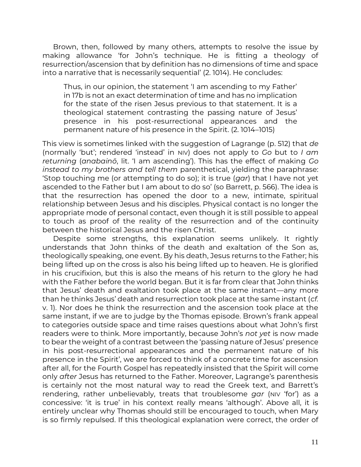Brown, then, followed by many others, attempts to resolve the issue by making allowance 'for John's technique. He is fitting a theology of resurrection/ascension that by definition has no dimensions of time and space into a narrative that is necessarily sequential' (2. 1014). He concludes:

Thus, in our opinion, the statement 'I am ascending to my Father' in 17b is not an exact determination of time and has no implication for the state of the risen Jesus previous to that statement. It is a theological statement contrasting the passing nature of Jesus' presence in his post-resurrectional appearances and the permanent nature of his presence in the Spirit. (2. 1014–1015)

This view is sometimes linked with the suggestion of Lagrange (p. 512) that *de* (normally 'but'; rendered 'instead' in NIV) does not apply to *Go* but to *I am returning* (*anabainō*, lit. 'I am ascending'). This has the effect of making *Go instead to my brothers and tell them* parenthetical, yielding the paraphrase: 'Stop touching me (or attempting to do so); it is true (*gar*) that I have not yet ascended to the Father but I am about to do so' (so Barrett, p. 566). The idea is that the resurrection has opened the door to a new, intimate, spiritual relationship between Jesus and his disciples. Physical contact is no longer the appropriate mode of personal contact, even though it is still possible to appeal to touch as proof of the reality of the resurrection and of the continuity between the historical Jesus and the risen Christ.

Despite some strengths, this explanation seems unlikely. It rightly understands that John thinks of the death and exaltation of the Son as, theologically speaking, one event. By his death, Jesus returns to the Father; his being lifted up on the cross is also his being lifted up to heaven. He is glorified in his crucifixion, but this is also the means of his return to the glory he had with the Father before the world began. But it is far from clear that John thinks that Jesus' death and exaltation took place at the same instant—any more than he thinks Jesus' death and resurrection took place at the same instant (*cf.* v. 1). Nor does he think the resurrection and the ascension took place at the same instant, if we are to judge by the Thomas episode. Brown's frank appeal to categories outside space and time raises questions about what John's first readers were to think. More importantly, because John's *not yet* is now made to bear the weight of a contrast between the 'passing nature of Jesus' presence in his post-resurrectional appearances and the permanent nature of his presence in the Spirit', we are forced to think of a concrete time for ascension after all, for the Fourth Gospel has repeatedly insisted that the Spirit will come only *after* Jesus has returned to the Father. Moreover, Lagrange's parenthesis is certainly not the most natural way to read the Greek text, and Barrett's rendering, rather unbelievably, treats that troublesome *gar* (NIV 'for') as a concessive: 'it is true' in his context really means 'although'. Above all, it is entirely unclear why Thomas should still be encouraged to touch, when Mary is so firmly repulsed. If this theological explanation were correct, the order of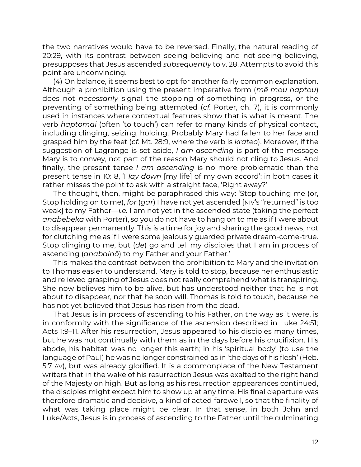the two narratives would have to be reversed. Finally, the natural reading of 20:29, with its contrast between seeing-believing and not-seeing-believing, presupposes that Jesus ascended *subsequently* to v. 28. Attempts to avoid this point are unconvincing.

(4) On balance, it seems best to opt for another fairly common explanation. Although a prohibition using the present imperative form (*mē mou haptou*) does not *necessarily* signal the stopping of something in progress, or the preventing of something being attempted (*cf.* Porter, ch. 7), it is commonly used in instances where contextual features show that is what is meant. The verb *haptomai* (often 'to touch') can refer to many kinds of physical contact, including clinging, seizing, holding. Probably Mary had fallen to her face and grasped him by the feet (*cf.* Mt. 28:9, where the verb is *krateo̅*). Moreover, if the suggestion of Lagrange is set aside, *I am ascending* is part of the message Mary is to convey, not part of the reason Mary should not cling to Jesus. And finally, the present tense *I am ascending* is no more problematic than the present tense in 10:18, 'I *lay down* [my life] of my own accord': in both cases it rather misses the point to ask with a straight face, 'Right away?'

The thought, then, might be paraphrased this way: 'Stop touching me (or, Stop holding on to me), *for* (*gar*) I have not yet ascended [NIV's "returned" is too weak] to my Father—*i.e.* I am not yet in the ascended state (taking the perfect *anabebēka* with Porter), so you do not have to hang on to me as if I were about to disappear permanently. This is a time for joy and sharing the good news, not for clutching me as if I were some jealously guarded private dream-come-true. Stop clinging to me, but (*de*) go and tell my disciples that I am in process of ascending (*anabainō*) to my Father and your Father.'

This makes the contrast between the prohibition to Mary and the invitation to Thomas easier to understand. Mary is told to stop, because her enthusiastic and relieved grasping of Jesus does not really comprehend what is transpiring. She now believes him to be alive, but has understood neither that he is not about to disappear, nor that he soon will. Thomas is told to touch, because he has not yet believed that Jesus has risen from the dead.

That Jesus is in process of ascending to his Father, on the way as it were, is in conformity with the significance of the ascension described in Luke 24:51; Acts 1:9–11. After his resurrection, Jesus appeared to his disciples many times, but he was not continually with them as in the days before his crucifixion. His abode, his habitat, was no longer this earth; in his 'spiritual body' (to use the language of Paul) he was no longer constrained as in 'the days of his flesh' (Heb. 5:7 AV), but was already glorified. It is a commonplace of the New Testament writers that in the wake of his resurrection Jesus was exalted to the right hand of the Majesty on high. But as long as his resurrection appearances continued, the disciples might expect him to show up at any time. His final departure was therefore dramatic and decisive, a kind of acted farewell, so that the finality of what was taking place might be clear. In that sense, in both John and Luke/Acts, Jesus is in process of ascending to the Father until the culminating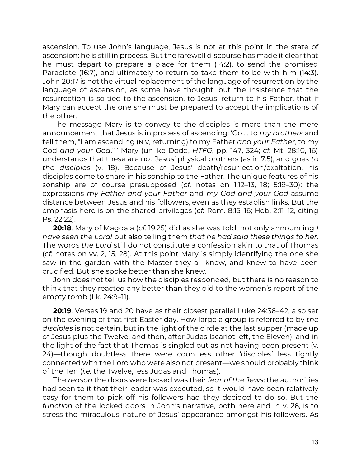ascension. To use John's language, Jesus is not at this point in the state of ascension: he is still in process. But the farewell discourse has made it clear that he must depart to prepare a place for them (14:2), to send the promised Paraclete (16:7), and ultimately to return to take them to be with him (14:3). John 20:17 is not the virtual replacement of the language of resurrection by the language of ascension, as some have thought, but the insistence that the resurrection is so tied to the ascension, to Jesus' return to his Father, that if Mary can accept the one she must be prepared to accept the implications of the other.

The message Mary is to convey to the disciples is more than the mere announcement that Jesus is in process of ascending: 'Go … to *my brothers* and tell them, "I am ascending (NIV, returning) to my Father *and your Father*, to my God *and your God*." ' Mary (unlike Dodd, *HTFG*, pp. 147, 324; *cf.* Mt. 28:10, 16) understands that these are not Jesus' physical brothers (as in 7:5), and goes *to the disciples* (v. 18). Because of Jesus' death/resurrection/exaltation, his disciples come to share in his sonship to the Father. The unique features of his sonship are of course presupposed (*cf.* notes on 1:12–13, 18; 5:19–30): the expressions *my Father and your Father* and *my God and your God* assume distance between Jesus and his followers, even as they establish links. But the emphasis here is on the shared privileges (*cf.* Rom. 8:15–16; Heb. 2:11–12, citing Ps. 22:22).

**20:18**. Mary of Magdala (*cf.* 19:25) did as she was told, not only announcing *I have seen the Lord!* but also telling them *that he had said these things to her*. The words *the Lord* still do not constitute a confession akin to that of Thomas (*cf.* notes on vv. 2, 15, 28). At this point Mary is simply identifying the one she saw in the garden with the Master they all knew, and knew to have been crucified. But she spoke better than she knew.

John does not tell us how the disciples responded, but there is no reason to think that they reacted any better than they did to the women's report of the empty tomb (Lk. 24:9–11).

**20:19**. Verses 19 and 20 have as their closest parallel Luke 24:36–42, also set on the evening of that first Easter day. How large a group is referred to by *the disciples* is not certain, but in the light of the circle at the last supper (made up of Jesus plus the Twelve, and then, after Judas Iscariot left, the Eleven), and in the light of the fact that Thomas is singled out as not having been present (v. 24)—though doubtless there were countless other 'disciples' less tightly connected with the Lord who were also not present—we should probably think of the Ten (*i.e.* the Twelve, less Judas and Thomas).

The *reason* the doors were locked was their *fear of the Jews*: the authorities had seen to it that their leader was executed, so it would have been relatively easy for them to pick off his followers had they decided to do so. But the *function* of the locked doors in John's narrative, both here and in v. 26, is to stress the miraculous nature of Jesus' appearance amongst his followers. As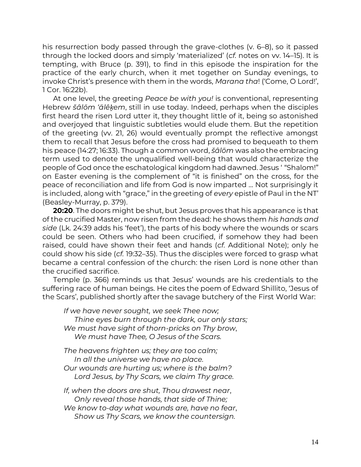his resurrection body passed through the grave-clothes (v. 6–8), so it passed through the locked doors and simply 'materialized' (*cf.* notes on vv. 14–15). It is tempting, with Bruce (p. 391), to find in this episode the inspiration for the practice of the early church, when it met together on Sunday evenings, to invoke Christ's presence with them in the words, *Marana tha*! ('Come, O Lord!', 1 Cor. 16:22b).

At one level, the greeting *Peace be with you!* is conventional, representing Hebrew *šâlōm 'ālêḵem*, still in use today. Indeed, perhaps when the disciples first heard the risen Lord utter it, they thought little of it, being so astonished and overjoyed that linguistic subtleties would elude them. But the repetition of the greeting (vv. 21, 26) would eventually prompt the reflective amongst them to recall that Jesus before the cross had promised to bequeath to them his peace (14:27; 16:33). Though a common word, *šâlōm* was also the embracing term used to denote the unqualified well-being that would characterize the people of God once the eschatological kingdom had dawned. Jesus ' "Shalom!" on Easter evening is the complement of "it is finished" on the cross, for the peace of reconciliation and life from God is now imparted … Not surprisingly it is included, along with "grace," in the greeting of *every* epistle of Paul in the NT' (Beasley-Murray, p. 379).

**20:20**. The doors might be shut, but Jesus proves that his appearance is that of the crucified Master, now risen from the dead: he shows them *his hands and side* (Lk. 24:39 adds his 'feet'), the parts of his body where the wounds or scars could be seen. Others who had been crucified, if somehow they had been raised, could have shown their feet and hands (*cf.* Additional Note); only he could show his side (*cf.* 19:32–35). Thus the disciples were forced to grasp what became a central confession of the church: the risen Lord is none other than the crucified sacrifice.

Temple (p. 366) reminds us that Jesus' wounds are his credentials to the suffering race of human beings. He cites the poem of Edward Shillito, 'Jesus of the Scars', published shortly after the savage butchery of the First World War:

*If we have never sought, we seek Thee now; Thine eyes burn through the dark, our only stars; We must have sight of thorn-pricks on Thy brow*, *We must have Thee, O Jesus of the Scars.*

*The heavens frighten us; they are too calm; In all the universe we have no place. Our wounds are hurting us; where is the balm? Lord Jesus, by Thy Scars, we claim Thy grace.*

*If, when the doors are shut, Thou drawest near*, *Only reveal those hands, that side of Thine; We know to-day what wounds are, have no fear*, *Show us Thy Scars, we know the countersign.*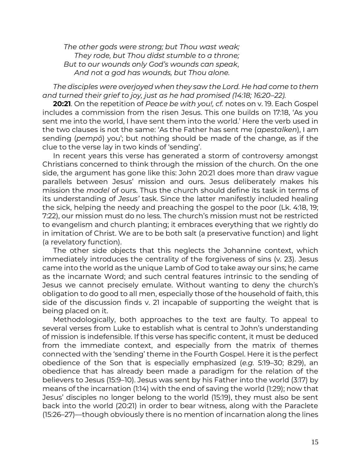*The other gods were strong; but Thou wast weak; They rode, but Thou didst stumble to a throne; But to our wounds only God's wounds can speak*, *And not a god has wounds, but Thou alone.*

*The disciples were overjoyed when they saw the Lord. He had come to them and turned their grief to joy, just as he had promised (14:18; 16:20–22).*

**20:21**. On the repetition of *Peace be with you!, cf.* notes on v. 19. Each Gospel includes a commission from the risen Jesus. This one builds on 17:18, 'As you sent me into the world, I have sent them into the world.' Here the verb used in the two clauses is not the same: 'As the Father has sent me (*apestalken*), I am sending (*pempō*) you'; but nothing should be made of the change, as if the clue to the verse lay in two kinds of 'sending'.

In recent years this verse has generated a storm of controversy amongst Christians concerned to think through the mission of the church. On the one side, the argument has gone like this: John 20:21 does more than draw vague parallels between Jesus' mission and ours. Jesus deliberately makes his mission the *model* of ours. Thus the church should define its task in terms of its understanding of *Jesus'* task. Since the latter manifestly included healing the sick, helping the needy and preaching the gospel to the poor (Lk. 4:18, 19; 7:22), our mission must do no less. The church's mission must not be restricted to evangelism and church planting; it embraces everything that we rightly do in imitation of Christ. We are to be both salt (a preservative function) and light (a revelatory function).

The other side objects that this neglects the Johannine context, which immediately introduces the centrality of the forgiveness of sins (v. 23). Jesus came into the world as the unique Lamb of God to take away our sins; he came as the incarnate Word; and such central features intrinsic to the sending of Jesus we cannot precisely emulate. Without wanting to deny the church's obligation to do good to all men, especially those of the household of faith, this side of the discussion finds v. 21 incapable of supporting the weight that is being placed on it.

Methodologically, both approaches to the text are faulty. To appeal to several verses from Luke to establish what is central to John's understanding of mission is indefensible. If this verse has specific content, it must be deduced from the immediate context, and especially from the matrix of themes connected with the 'sending' theme in the Fourth Gospel. Here it is the perfect obedience of the Son that is especially emphasized (*e.g.* 5:19–30; 8:29), an obedience that has already been made a paradigm for the relation of the believers to Jesus (15:9–10). Jesus was sent by his Father into the world (3:17) by means of the incarnation (1:14) with the end of saving the world (1:29); now that Jesus' disciples no longer belong to the world (15:19), they must also be sent back into the world (20:21) in order to bear witness, along with the Paraclete (15:26–27)—though obviously there is no mention of incarnation along the lines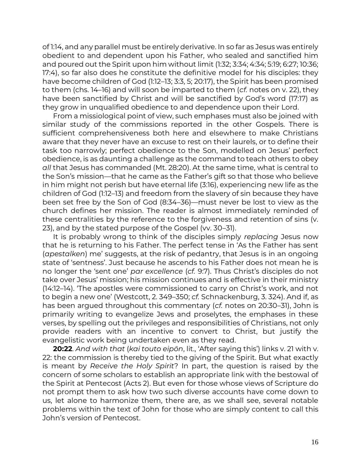of 1:14, and any parallel must be entirely derivative. In so far as Jesus was entirely obedient to and dependent upon his Father, who sealed and sanctified him and poured out the Spirit upon him without limit (1:32; 3:34; 4:34; 5:19; 6:27; 10:36; 17:4), so far also does he constitute the definitive model for his disciples: they have become children of God (1:12–13; 3:3, 5; 20:17), the Spirit has been promised to them (chs. 14–16) and will soon be imparted to them (*cf.* notes on v. 22), they have been sanctified by Christ and will be sanctified by God's word (17:17) as they grow in unqualified obedience to and dependence upon their Lord.

From a missiological point of view, such emphases must also be joined with similar study of the commissions reported in the other Gospels. There is sufficient comprehensiveness both here and elsewhere to make Christians aware that they never have an excuse to rest on their laurels, or to define their task too narrowly; perfect obedience to the Son, modelled on Jesus' perfect obedience, is as daunting a challenge as the command to teach others to obey *all* that Jesus has commanded (Mt. 28:20). At the same time, what is central to the Son's mission—that he came as the Father's gift so that those who believe in him might not perish but have eternal life (3:16), experiencing new life as the children of God (1:12–13) and freedom from the slavery of sin because they have been set free by the Son of God (8:34–36)—must never be lost to view as the church defines her mission. The reader is almost immediately reminded of these centralities by the reference to the forgiveness and retention of sins (v. 23), and by the stated purpose of the Gospel (vv. 30–31).

It is probably wrong to think of the disciples simply *replacing* Jesus now that he is returning to his Father. The perfect tense in 'As the Father has sent (*apestalken*) me' suggests, at the risk of pedantry, that Jesus is in an ongoing state of 'sentness'. Just because he ascends to his Father does not mean he is no longer the 'sent one' *par excellence* (*cf.* 9:7). Thus Christ's disciples do not take over Jesus' mission; his mission continues and is effective in their ministry (14:12–14). 'The apostles were commissioned to carry on Christ's work, and not to begin a new one' (Westcott, 2. 349–350; *cf.* Schnackenburg, 3. 324). And if, as has been argued throughout this commentary (*cf.* notes on 20:30–31), John is primarily writing to evangelize Jews and proselytes, the emphases in these verses, by spelling out the privileges and responsibilities of Christians, not only provide readers with an incentive to convert to Christ, but justify the evangelistic work being undertaken even as they read.

**20:22**. *And with that* (*kai touto eipōn*, lit., 'After saying this') links v. 21 with v. 22: the commission is thereby tied to the giving of the Spirit. But what exactly is meant by *Receive the Holy Spirit*? In part, the question is raised by the concern of some scholars to establish an appropriate link with the bestowal of the Spirit at Pentecost (Acts 2). But even for those whose views of Scripture do not prompt them to ask how two such diverse accounts have come down to us, let alone to harmonize them, there are, as we shall see, several notable problems within the text of John for those who are simply content to call this John's version of Pentecost.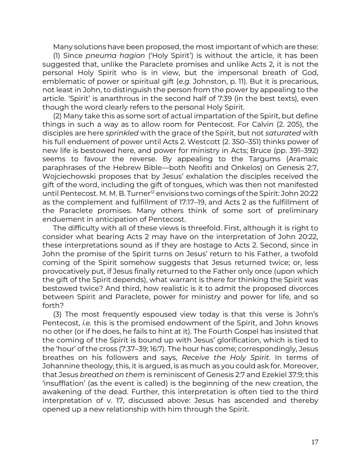Many solutions have been proposed, the most important of which are these:

(1) Since *pneuma hagion* ('Holy Spirit') is without the article, it has been suggested that, unlike the Paraclete promises and unlike Acts 2, it is not the personal Holy Spirit who is in view, but the impersonal breath of God, emblematic of power or spiritual gift (*e.g.* Johnston, p. 11). But it is precarious, not least in John, to distinguish the person from the power by appealing to the article. 'Spirit' is anarthrous in the second half of 7:39 (in the best texts), even though the word clearly refers to the personal Holy Spirit.

(2) Many take this as some sort of actual impartation of the Spirit, but define things in such a way as to allow room for Pentecost. For Calvin (2. 205), the disciples are here *sprinkled* with the grace of the Spirit, but not *saturated* with his full enduement of power until Acts 2. Westcott (2. 350–351) thinks power of new life is bestowed here, and power for ministry in Acts; Bruce (pp. 391–392) seems to favour the reverse. By appealing to the Targums (Aramaic paraphrases of the Hebrew Bible—both Neofiti and Onkelos) on Genesis 2:7, Wojciechowski proposes that by Jesus' exhalation the disciples received the gift of the word, including the gift of tongues, which was then not manifested until Pentecost. M. M. B. Turner<sup>12</sup> envisions two comings of the Spirit: John 20:22 as the complement and fulfillment of 17:17–19, and Acts 2 as the fulfillment of the Paraclete promises. Many others think of some sort of preliminary enduement in anticipation of Pentecost.

The difficulty with all of these views is threefold. First, although it is right to consider what bearing Acts 2 may have on the interpretation of John 20:22, these interpretations sound as if they are hostage to Acts 2. Second, since in John the promise of the Spirit turns on Jesus' return to his Father, a twofold coming of the Spirit somehow suggests that Jesus returned twice; or, less provocatively put, if Jesus finally returned to the Father only once (upon which the gift of the Spirit depends), what warrant is there for thinking the Spirit was bestowed twice? And third, how realistic is it to admit the proposed divorces between Spirit and Paraclete, power for ministry and power for life, and so forth?

(3) The most frequently espoused view today is that this verse is John's Pentecost, *i.e.* this is the promised endowment of the Spirit, and John knows no other (or if he does, he fails to hint at it). The Fourth Gospel has insisted that the coming of the Spirit is bound up with Jesus' glorification, which is tied to the 'hour' of the cross (7:37–39; 16:7). The hour has come; correspondingly, Jesus breathes on his followers and says, *Receive the Holy Spirit*. In terms of Johannine theology, this, it is argued, is as much as you could ask for. Moreover, that Jesus *breathed on them* is reminiscent of Genesis 2:7 and Ezekiel 37:9; this 'insufflation' (as the event is called) is the beginning of the new creation, the awakening of the dead. Further, this interpretation is often tied to the third interpretation of v. 17, discussed above: Jesus has ascended and thereby opened up a new relationship with him through the Spirit.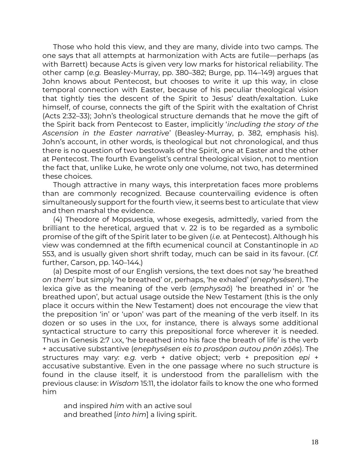Those who hold this view, and they are many, divide into two camps. The one says that all attempts at harmonization with Acts are futile—perhaps (as with Barrett) because Acts is given very low marks for historical reliability. The other camp (*e.g.* Beasley-Murray, pp. 380–382; Burge, pp. 114–149) argues that John knows about Pentecost, but chooses to write it up this way, in close temporal connection with Easter, because of his peculiar theological vision that tightly ties the descent of the Spirit to Jesus' death/exaltation. Luke himself, of course, connects the gift of the Spirit with the exaltation of Christ (Acts 2:32–33); John's theological structure demands that he move the gift of the Spirit back from Pentecost to Easter, implicitly '*including the story of the Ascension in the Easter narrative*' (Beasley-Murray, p. 382, emphasis his). John's account, in other words, is theological but not chronological, and thus there is no question of two bestowals of the Spirit, one at Easter and the other at Pentecost. The fourth Evangelist's central theological vision, not to mention the fact that, unlike Luke, he wrote only one volume, not two, has determined these choices.

Though attractive in many ways, this interpretation faces more problems than are commonly recognized. Because countervailing evidence is often simultaneously support for the fourth view, it seems best to articulate that view and then marshal the evidence.

(4) Theodore of Mopsuestia, whose exegesis, admittedly, varied from the brilliant to the heretical, argued that v. 22 is to be regarded as a symbolic promise of the gift of the Spirit later to be given (*i.e.* at Pentecost). Although his view was condemned at the fifth ecumenical council at Constantinople in AD 553, and is usually given short shrift today, much can be said in its favour. (*Cf.* further, Carson, pp. 140–144.)

(a) Despite most of our English versions, the text does not say 'he breathed *on them*' but simply 'he breathed' or, perhaps, 'he exhaled' (*enephysēsen*). The lexica give as the meaning of the verb (*emphysaō*) 'he breathed in' or 'he breathed upon', but actual usage outside the New Testament (this is the only place it occurs within the New Testament) does not encourage the view that the preposition 'in' or 'upon' was part of the meaning of the verb itself. In its dozen or so uses in the LXX, for instance, there is always some additional syntactical structure to carry this prepositional force wherever it is needed. Thus in Genesis 2:7 LXX, 'he breathed into his face the breath of life' is the verb + accusative substantive (*enephysēsen eis to prosōpon autou pnōn zōēs*). The structures may vary: *e.g.* verb + dative object; verb + preposition *epi* + accusative substantive. Even in the one passage where no such structure is found in the clause itself, it is understood from the parallelism with the previous clause: in *Wisdom* 15:11, the idolator fails to know the one who formed him

and inspired *him* with an active soul and breathed [*into him*] a living spirit.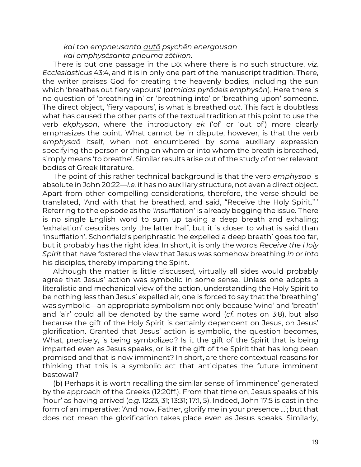*kai ton empneusanta autō psychēn energousan kai emphysēsanta pneuma zōtikon.*

There is but one passage in the LXX where there is no such structure, *viz*. *Ecclesiasticus* 43:4, and it is in only one part of the manuscript tradition. There, the writer praises God for creating the heavenly bodies, including the sun which 'breathes out fiery vapours' (*atmidas pyrōdeis emphysōn*). Here there is no question of 'breathing in' or 'breathing into' or 'breathing upon' someone. The direct object, 'fiery vapours', is what is breathed *out*. This fact is doubtless what has caused the other parts of the textual tradition at this point to use the verb *ekphysōn*, where the introductory *ek* ('of' or 'out of') more clearly emphasizes the point. What cannot be in dispute, however, is that the verb *emphysaō* itself, when not encumbered by some auxiliary expression specifying the person or thing on whom or into whom the breath is breathed, simply means 'to breathe'. Similar results arise out of the study of other relevant bodies of Greek literature.

The point of this rather technical background is that the verb *emphysaō* is absolute in John 20:22—*i.e.* it has no auxiliary structure, not even a direct object. Apart from other compelling considerations, therefore, the verse should be translated, 'And with that he breathed, and said, "Receive the Holy Spirit." ' Referring to the episode as the '*in*sufflation' is already begging the issue. There is no single English word to sum up taking a deep breath and exhaling; 'exhalation' describes only the latter half, but it is closer to what is said than 'insufflation'. Schonfield's periphrastic 'he expelled a deep breath' goes too far, but it probably has the right idea. In short, it is only the words *Receive the Holy Spirit* that have fostered the view that Jesus was somehow breathing *in* or *into* his disciples, thereby imparting the Spirit.

Although the matter is little discussed, virtually all sides would probably agree that Jesus' action was symbolic in some sense. Unless one adopts a literalistic and mechanical view of the action, understanding the Holy Spirit to be nothing less than Jesus' expelled air, one is forced to say that the 'breathing' was symbolic—an appropriate symbolism not only because 'wind' and 'breath' and 'air' could all be denoted by the same word (*cf.* notes on 3:8), but also because the gift of the Holy Spirit is certainly dependent on Jesus, on Jesus' glorification. Granted that Jesus' action is symbolic, the question becomes, What, precisely, is being symbolized? Is it the gift of the Spirit that is being imparted even as Jesus speaks, or is it the gift of the Spirit that has long been promised and that is now imminent? In short, are there contextual reasons for thinking that this is a symbolic act that anticipates the future imminent bestowal?

(b) Perhaps it is worth recalling the similar sense of 'imminence' generated by the approach of the Greeks (12:20ff.). From that time on, Jesus speaks of his 'hour' as having arrived (*e.g.* 12:23, 31; 13:31; 17:1, 5). Indeed, John 17:5 is cast in the form of an imperative: 'And now, Father, glorify me in your presence …'; but that does not mean the glorification takes place even as Jesus speaks. Similarly,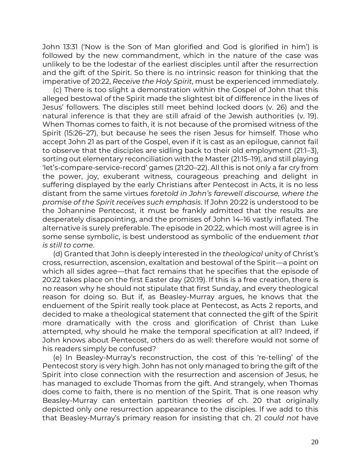John 13:31 ('Now is the Son of Man glorified and God is glorified in him') is followed by the new commandment, which in the nature of the case was unlikely to be the lodestar of the earliest disciples until after the resurrection and the gift of the Spirit. So there is no intrinsic reason for thinking that the imperative of 20:22, *Receive the Holy Spirit*, must be experienced immediately.

(c) There is too slight a demonstration within the Gospel of John that this alleged bestowal of the Spirit made the slightest bit of difference in the lives of Jesus' followers. The disciples still meet behind locked doors (v. 26) and the natural inference is that they are still afraid of the Jewish authorities (v. 19). When Thomas comes to faith, it is not because of the promised witness of the Spirit (15:26–27), but because he sees the risen Jesus for himself. Those who accept John 21 as part of the Gospel, even if it is cast as an epilogue, cannot fail to observe that the disciples are sidling back to their old employment (21:1–3), sorting out elementary reconciliation with the Master (21:15–19), and still playing 'let's-compare-service-record' games (21:20–22). All this is not only a far cry from the power, joy, exuberant witness, courageous preaching and delight in suffering displayed by the early Christians after Pentecost in Acts, it is no less distant from the same virtues *foretold in John's farewell discourse, where the promise of the Spirit receives such emphasis*. If John 20:22 is understood to be the Johannine Pentecost, it must be frankly admitted that the results are desperately disappointing, and the promises of John 14–16 vastly inflated. The alternative is surely preferable. The episode in 20:22, which most will agree is in some sense symbolic, is best understood as symbolic of the enduement *that is still to come*.

(d) Granted that John is deeply interested in the *theological* unity of Christ's cross, resurrection, ascension, exaltation and bestowal of the Spirit—a point on which all sides agree—that fact remains that he specifies that the episode of 20:22 takes place on the first Easter day (20:19). If this is a free creation, there is no reason why he should not stipulate that first Sunday, and every theological reason for doing so. But if, as Beasley-Murray argues, he knows that the enduement of the Spirit really took place at Pentecost, as Acts 2 reports, and decided to make a theological statement that connected the gift of the Spirit more dramatically with the cross and glorification of Christ than Luke attempted, why should he make the temporal specification at all? Indeed, if John knows about Pentecost, others do as well: therefore would not some of his readers simply be confused?

(e) In Beasley-Murray's reconstruction, the cost of this 're-telling' of the Pentecost story is very high. John has not only managed to bring the gift of the Spirit into close connection with the resurrection and ascension of Jesus, he has managed to exclude Thomas from the gift. And strangely, when Thomas does come to faith, there is no mention of the Spirit. That is one reason why Beasley-Murray can entertain partition theories of ch. 20 that originally depicted only *one* resurrection appearance to the disciples. If we add to this that Beasley-Murray's primary reason for insisting that ch. 21 *could not* have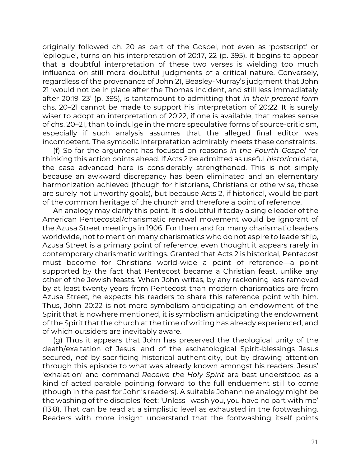originally followed ch. 20 as part of the Gospel, not even as 'postscript' or 'epilogue', turns on his interpretation of 20:17, 22 (p. 395), it begins to appear that a doubtful interpretation of these two verses is wielding too much influence on still more doubtful judgments of a critical nature. Conversely, regardless of the provenance of John 21, Beasley-Murray's judgment that John 21 'would not be in place after the Thomas incident, and still less immediately after 20:19–23' (p. 395), is tantamount to admitting that *in their present form* chs. 20–21 cannot be made to support his interpretation of 20:22. It is surely wiser to adopt an interpretation of 20:22, if one is available, that makes sense of chs. 20–21, than to indulge in the more speculative forms of source-criticism, especially if such analysis assumes that the alleged final editor was incompetent. The symbolic interpretation admirably meets these constraints.

(f) So far the argument has focused on reasons *in the Fourth Gospel* for thinking this action points ahead. If Acts 2 be admitted as useful *historical* data, the case advanced here is considerably strengthened. This is not simply because an awkward discrepancy has been eliminated and an elementary harmonization achieved (though for historians, Christians or otherwise, those are surely not unworthy goals), but because Acts 2, if historical, would be part of the common heritage of the church and therefore a point of reference.

An analogy may clarify this point. It is doubtful if today a single leader of the American Pentecostal/charismatic renewal movement would be ignorant of the Azusa Street meetings in 1906. For them and for many charismatic leaders worldwide, not to mention many charismatics who do not aspire to leadership, Azusa Street is a primary point of reference, even thought it appears rarely in contemporary charismatic writings. Granted that Acts 2 is historical, Pentecost must become for Christians world-wide a point of reference—a point supported by the fact that Pentecost became a Christian feast, unlike any other of the Jewish feasts. When John writes, by any reckoning less removed by at least twenty years from Pentecost than modern charismatics are from Azusa Street, he expects his readers to share this reference point with him. Thus, John 20:22 is not mere symbolism anticipating an endowment of the Spirit that is nowhere mentioned, it is symbolism anticipating the endowment of the Spirit that the church at the time of writing has already experienced, and of which outsiders are inevitably aware.

(g) Thus it appears that John has preserved the theological unity of the death/exaltation of Jesus, and of the eschatological Spirit-blessings Jesus secured, *not* by sacrificing historical authenticity, but by drawing attention through this episode to what was already known amongst his readers. Jesus' 'exhalation' and command *Receive the Holy Spirit* are best understood as a kind of acted parable pointing forward to the full enduement still to come (though in the past for John's readers). A suitable Johannine analogy might be the washing of the disciples' feet: 'Unless I wash you, you have no part with me' (13:8). That can be read at a simplistic level as exhausted in the footwashing. Readers with more insight understand that the footwashing itself points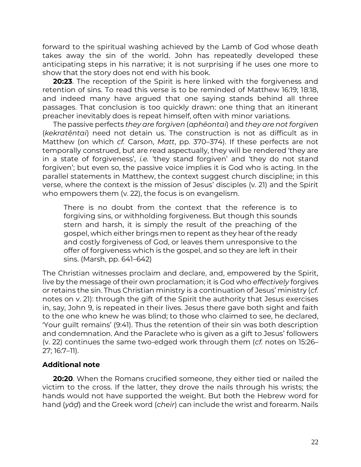forward to the spiritual washing achieved by the Lamb of God whose death takes away the sin of the world. John has repeatedly developed these anticipating steps in his narrative; it is not surprising if he uses one more to show that the story does not end with his book.

**20:23**. The reception of the Spirit is here linked with the forgiveness and retention of sins. To read this verse is to be reminded of Matthew 16:19; 18:18, and indeed many have argued that one saying stands behind all three passages. That conclusion is too quickly drawn: one thing that an itinerant preacher inevitably does is repeat himself, often with minor variations.

The passive perfects *they are forgiven* (*aphēontai*) and *they are not forgiven* (*kekratēntai*) need not detain us. The construction is not as difficult as in Matthew (on which *cf.* Carson, *Matt*, pp. 370–374). If these perfects are not temporally construed, but are read aspectually, they will be rendered 'they are in a state of forgiveness', *i.e.* 'they stand forgiven' and 'they do not stand forgiven'; but even so, the passive voice implies it is God who is acting. In the parallel statements in Matthew, the context suggest church discipline; in this verse, where the context is the mission of Jesus' disciples (v. 21) and the Spirit who empowers them (v. 22), the focus is on evangelism.

There is no doubt from the context that the reference is to forgiving sins, or withholding forgiveness. But though this sounds stern and harsh, it is simply the result of the preaching of the gospel, which either brings men to repent as they hear of the ready and costly forgiveness of God, or leaves them unresponsive to the offer of forgiveness which is the gospel, and so they are left in their sins. (Marsh, pp. 641–642)

The Christian witnesses proclaim and declare, and, empowered by the Spirit, live by the message of their own proclamation; it is God who *effectively* forgives or retains the sin. Thus Christian ministry is a continuation of Jesus' ministry (*cf.* notes on v. 21): through the gift of the Spirit the authority that Jesus exercises in, say, John 9, is repeated in their lives. Jesus there gave both sight and faith to the one who knew he was blind; to those who claimed to see, he declared, 'Your guilt remains' (9:41). Thus the retention of their sin was both description and condemnation. And the Paraclete who is given as a gift to Jesus' followers (v. 22) continues the same two-edged work through them (*cf.* notes on 15:26– 27; 16:7–11).

### **Additional note**

**20:20**. When the Romans crucified someone, they either tied or nailed the victim to the cross. If the latter, they drove the nails through his wrists; the hands would not have supported the weight. But both the Hebrew word for hand (*yāḏ*) and the Greek word (*cheir*) can include the wrist and forearm. Nails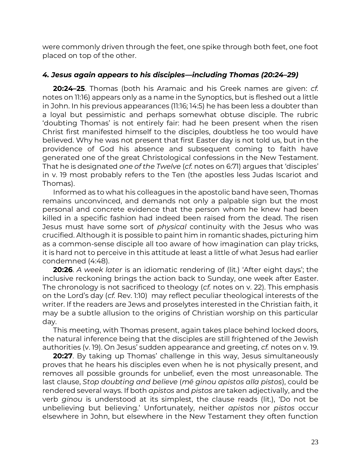were commonly driven through the feet, one spike through both feet, one foot placed on top of the other.

### *4. Jesus again appears to his disciples—including Thomas (20:24–29)*

**20:24–25**. Thomas (both his Aramaic and his Greek names are given: *cf.* notes on 11:16) appears only as a name in the Synoptics, but is fleshed out a little in John. In his previous appearances (11:16; 14:5) he has been less a doubter than a loyal but pessimistic and perhaps somewhat obtuse disciple. The rubric 'doubting Thomas' is not entirely fair: had he been present when the risen Christ first manifested himself to the disciples, doubtless he too would have believed. Why he was not present that first Easter day is not told us, but in the providence of God his absence and subsequent coming to faith have generated one of the great Christological confessions in the New Testament. That he is designated *one of the Twelve* (*cf.* notes on 6:71) argues that 'disciples' in v. 19 most probably refers to the Ten (the apostles less Judas Iscariot and Thomas).

Informed as to what his colleagues in the apostolic band have seen, Thomas remains unconvinced, and demands not only a palpable sign but the most personal and concrete evidence that the person whom he knew had been killed in a specific fashion had indeed been raised from the dead. The risen Jesus must have some sort of *physical* continuity with the Jesus who was crucified. Although it is possible to paint him in romantic shades, picturing him as a common-sense disciple all too aware of how imagination can play tricks, it is hard not to perceive in this attitude at least a little of what Jesus had earlier condemned (4:48).

**20:26**. *A week later* is an idiomatic rendering of (lit.) 'After eight days'; the inclusive reckoning brings the action back to Sunday, one week after Easter. The chronology is not sacrificed to theology (*cf.* notes on v. 22). This emphasis on the Lord's day (*cf.* Rev. 1:10) may reflect peculiar theological interests of the writer. If the readers are Jews and proselytes interested in the Christian faith, it may be a subtle allusion to the origins of Christian worship on this particular day.

This meeting, with Thomas present, again takes place behind locked doors, the natural inference being that the disciples are still frightened of the Jewish authorities (v. 19). On Jesus' sudden appearance and greeting, *cf.* notes on v. 19.

**20:27**. By taking up Thomas' challenge in this way, Jesus simultaneously proves that he hears his disciples even when he is not physically present, and removes all possible grounds for unbelief, even the most unreasonable. The last clause, *Stop doubting and believe* (*mē ginou apistos alla pistos*), could be rendered several ways. If both *apistos* and *pistos* are taken adjectivally, and the verb *ginou* is understood at its simplest, the clause reads (lit.), 'Do not be unbelieving but believing.' Unfortunately, neither *apistos* nor *pistos* occur elsewhere in John, but elsewhere in the New Testament they often function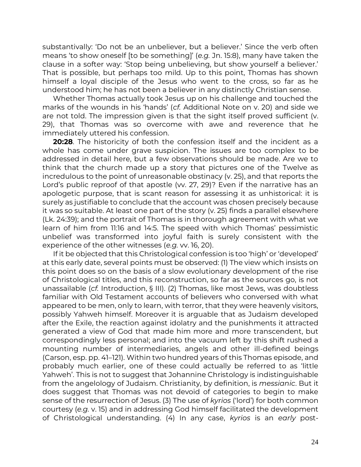substantivally: 'Do not be an unbeliever, but a believer.' Since the verb often means 'to show oneself [to be something]' (*e.g.* Jn. 15:8), many have taken the clause in a softer way: 'Stop being unbelieving, but show yourself a believer.' That is possible, but perhaps too mild. Up to this point, Thomas has shown himself a loyal disciple of the Jesus who went to the cross, so far as he understood him; he has not been a believer in any distinctly Christian sense.

Whether Thomas actually took Jesus up on his challenge and touched the marks of the wounds in his 'hands' (*cf.* Additional Note on v. 20) and side we are not told. The impression given is that the sight itself proved sufficient (v. 29), that Thomas was so overcome with awe and reverence that he immediately uttered his confession.

**20:28**. The historicity of both the confession itself and the incident as a whole has come under grave suspicion. The issues are too complex to be addressed in detail here, but a few observations should be made. Are we to think that the church made up a story that pictures one of the Twelve as incredulous to the point of unreasonable obstinacy (v. 25), and that reports the Lord's public reproof of that apostle (vv. 27, 29)? Even if the narrative has an apologetic purpose, that is scant reason for assessing it as unhistorical: it is surely as justifiable to conclude that the account was chosen precisely because it was so suitable. At least one part of the story (v. 25) finds a parallel elsewhere (Lk. 24:39); and the portrait of Thomas is in thorough agreement with what we learn of him from 11:16 and 14:5. The speed with which Thomas' pessimistic unbelief was transformed into joyful faith is surely consistent with the experience of the other witnesses (*e.g.* vv. 16, 20).

If it be objected that this Christological confession is too 'high' or 'developed' at this early date, several points must be observed: (1) The view which insists on this point does so on the basis of a slow evolutionary development of the rise of Christological titles, and this reconstruction, so far as the sources go, is not unassailable (*cf.* Introduction, § III). (2) Thomas, like most Jews, was doubtless familiar with Old Testament accounts of believers who conversed with what appeared to be men, only to learn, with terror, that they were heavenly visitors, possibly Yahweh himself. Moreover it is arguable that as Judaism developed after the Exile, the reaction against idolatry and the punishments it attracted generated a view of God that made him more and more transcendent, but correspondingly less personal; and into the vacuum left by this shift rushed a mounting number of intermediaries, angels and other ill-defined beings (Carson, esp. pp. 41–121). Within two hundred years of this Thomas episode, and probably much earlier, one of these could actually be referred to as 'little Yahweh'. This is not to suggest that Johannine Christology is indistinguishable from the angelology of Judaism. Christianity, by definition, is *messianic*. But it does suggest that Thomas was not devoid of categories to begin to make sense of the resurrection of Jesus. (3) The use of *kyrios* ('lord') for both common courtesy (*e.g.* v. 15) and in addressing God himself facilitated the development of Christological understanding. (4) In any case, *kyrios* is an *early* post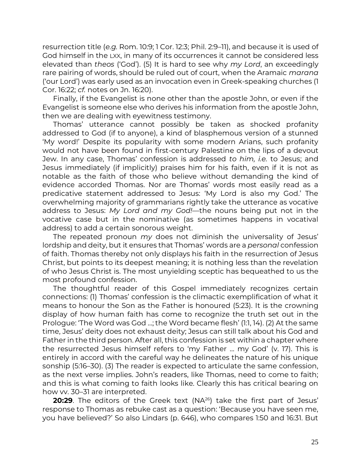resurrection title (*e.g.* Rom. 10:9; 1 Cor. 12:3; Phil. 2:9–11), and because it is used of God himself in the LXX, in many of its occurrences it cannot be considered less elevated than *theos* ('God'). (5) It is hard to see why *my Lord*, an exceedingly rare pairing of words, should be ruled out of court, when the Aramaic *marana* ('our Lord') was early used as an invocation even in Greek-speaking churches (1 Cor. 16:22; *cf.* notes on Jn. 16:20).

Finally, if the Evangelist is none other than the apostle John, or even if the Evangelist is someone else who derives his information from the apostle John, then we are dealing with eyewitness testimony.

Thomas' utterance cannot possibly be taken as shocked profanity addressed to God (if to anyone), a kind of blasphemous version of a stunned 'My word!' Despite its popularity with some modern Arians, such profanity would not have been found in first-century Palestine on the lips of a devout Jew. In any case, Thomas' confession is addressed *to him, i.e.* to Jesus; and Jesus immediately (if implicitly) praises him for his faith, even if it is not as notable as the faith of those who believe without demanding the kind of evidence accorded Thomas. Nor are Thomas' words most easily read as a predicative statement addressed to Jesus: 'My Lord is also my God.' The overwhelming majority of grammarians rightly take the utterance as vocative address to Jesus: *My Lord and my God!*—the nouns being put not in the vocative case but in the nominative (as sometimes happens in vocatival address) to add a certain sonorous weight.

The repeated pronoun *my* does not diminish the universality of Jesus' lordship and deity, but it ensures that Thomas' words are a *personal* confession of faith. Thomas thereby not only displays his faith in the resurrection of Jesus Christ, but points to its deepest meaning; it is nothing less than the revelation of who Jesus Christ is. The most unyielding sceptic has bequeathed to us the most profound confession.

The thoughtful reader of this Gospel immediately recognizes certain connections: (1) Thomas' confession is the climactic exemplification of what it means to honour the Son as the Father is honoured (5:23). It is the crowning display of how human faith has come to recognize the truth set out in the Prologue: 'The Word was God …; the Word became flesh' (1:1, 14). (2) At the same time, Jesus' deity does not exhaust deity; Jesus can still talk about his God and Father in the third person. After all, this confession is set within a chapter where the resurrected Jesus himself refers to 'my Father … my God' (v. 17). This is entirely in accord with the careful way he delineates the nature of his unique sonship (5:16–30). (3) The reader is expected to articulate the same confession, as the next verse implies. John's readers, like Thomas, need to come to faith; and this is what coming to faith looks like. Clearly this has critical bearing on how vv. 30–31 are interpreted.

**20:29**. The editors of the Greek text (NA<sup>26</sup>) take the first part of Jesus' response to Thomas as rebuke cast as a question: 'Because you have seen me, you have believed?' So also Lindars (p. 646), who compares 1:50 and 16:31. But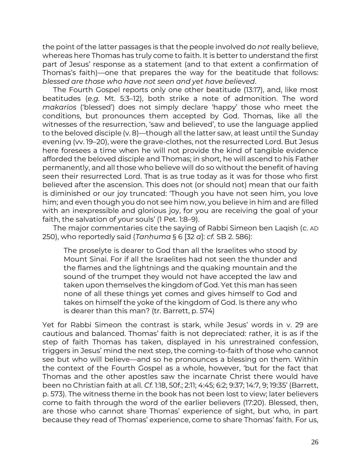the point of the latter passages is that the people involved do *not* really believe, whereas here Thomas has truly come to faith. It is better to understand the first part of Jesus' response as a statement (and to that extent a confirmation of Thomas's faith)—one that prepares the way for the beatitude that follows: *blessed are those who have not seen and yet have believed*.

The Fourth Gospel reports only one other beatitude (13:17), and, like most beatitudes (*e.g.* Mt. 5:3–12), both strike a note of admonition. The word *makarios* ('blessed') does not simply declare 'happy' those who meet the conditions, but pronounces them accepted by God. Thomas, like all the witnesses of the resurrection, 'saw and believed', to use the language applied to the beloved disciple (v. 8)—though all the latter saw, at least until the Sunday evening (vv. 19–20), were the grave-clothes, not the resurrected Lord. But Jesus here foresees a time when he will not provide the kind of tangible evidence afforded the beloved disciple and Thomas; in short, he will ascend to his Father permanently, and all those who believe will do so without the benefit of having seen their resurrected Lord. That is as true today as it was for those who first believed after the ascension. This does not (or should not) mean that our faith is diminished or our joy truncated: 'Though you have not seen him, you love him; and even though you do not see him now, you believe in him and are filled with an inexpressible and glorious joy, for you are receiving the goal of your faith, the salvation of your souls' (1 Pet. 1:8–9).

The major commentaries cite the saying of Rabbi Simeon ben Laqish (*c*. AD 250), who reportedly said (*Tanḥuma* § 6 [32 *a*]: *cf.* SB 2. 586):

The proselyte is dearer to God than all the Israelites who stood by Mount Sinai. For if all the Israelites had not seen the thunder and the flames and the lightnings and the quaking mountain and the sound of the trumpet they would not have accepted the law and taken upon themselves the kingdom of God. Yet this man has seen none of all these things yet comes and gives himself to God and takes on himself the yoke of the kingdom of God. Is there any who is dearer than this man? (tr. Barrett, p. 574)

Yet for Rabbi Simeon the contrast is stark, while Jesus' words in v. 29 are cautious and balanced. Thomas' faith is not depreciated: rather, it is as if the step of faith Thomas has taken, displayed in his unrestrained confession, triggers in Jesus' mind the next step, the coming-to-faith of those who cannot see but who will believe—and so he pronounces a blessing on them. Within the context of the Fourth Gospel as a whole, however, 'but for the fact that Thomas and the other apostles saw the incarnate Christ there would have been no Christian faith at all. *Cf.* 1:18, 50f.; 2:11; 4:45; 6:2; 9:37; 14:7, 9; 19:35' (Barrett, p. 573). The witness theme in the book has not been lost to view; later believers come to faith through the word of the earlier believers (17:20). Blessed, then, are those who cannot share Thomas' experience of sight, but who, in part because they read of Thomas' experience, come to share Thomas' faith. For us,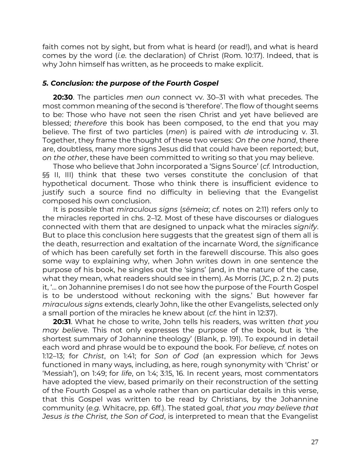faith comes not by sight, but from what is heard (or read!), and what is heard comes by the word (*i.e.* the declaration) of Christ (Rom. 10:17). Indeed, that is why John himself has written, as he proceeds to make explicit.

#### *5. Conclusion: the purpose of the Fourth Gospel*

**20:30**. The particles *men oun* connect vv. 30–31 with what precedes. The most common meaning of the second is 'therefore'. The flow of thought seems to be: Those who have not seen the risen Christ and yet have believed are blessed; *therefore* this book has been composed, to the end that you may believe. The first of two particles (*men*) is paired with *de* introducing v. 31. Together, they frame the thought of these two verses: *On the one hand*, there are, doubtless, many more signs Jesus did that could have been reported; but, *on the other*, these have been committed to writing so that you may believe.

Those who believe that John incorporated a 'Signs Source' (*cf.* Introduction, §§ II, III) think that these two verses constitute the conclusion of that hypothetical document. Those who think there is insufficient evidence to justify such a source find no difficulty in believing that the Evangelist composed his own conclusion.

It is possible that *miraculous signs* (*sēmeia*; *cf.* notes on 2:11) refers only to the miracles reported in chs. 2–12. Most of these have discourses or dialogues connected with them that are designed to unpack what the miracles *signify*. But to place this conclusion here suggests that the greatest sign of them all is the death, resurrection and exaltation of the incarnate Word, the *sign*ificance of which has been carefully set forth in the farewell discourse. This also goes some way to explaining why, when John writes down in one sentence the purpose of his book, he singles out the 'signs' (and, in the nature of the case, what they mean, what readers should see in them). As Morris (*JC*, p. 2 n. 2) puts it, '… on Johannine premises I do not see how the purpose of the Fourth Gospel is to be understood without reckoning with the signs.' But however far *miraculous signs* extends, clearly John, like the other Evangelists, selected only a small portion of the miracles he knew about (*cf.* the hint in 12:37).

**20:31**. What he chose to write, John tells his readers, was written *that you may believe*. This not only expresses the purpose of the book, but is 'the shortest summary of Johannine theology' (Blank, p. 191). To expound in detail each word and phrase would be to expound the book. For *believe, cf.* notes on 1:12–13; for *Christ*, on 1:41; for *Son of God* (an expression which for Jews functioned in many ways, including, as here, rough synonymity with 'Christ' or 'Messiah'), on 1:49; for *life*, on 1:4; 3:15, 16. In recent years, most commentators have adopted the view, based primarily on their reconstruction of the setting of the Fourth Gospel as a whole rather than on particular details in this verse, that this Gospel was written to be read by Christians, by the Johannine community (*e.g.* Whitacre, pp. 6ff.). The stated goal, *that you may believe that Jesus is the Christ, the Son of God*, is interpreted to mean that the Evangelist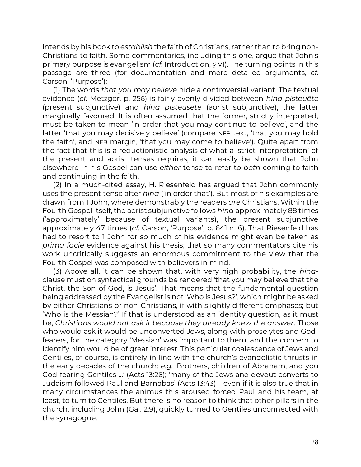intends by his book to *establish* the faith of Christians, rather than to bring non-Christians to faith. Some commentaries, including this one, argue that John's primary purpose is evangelism (*cf.* Introduction, § VI). The turning points in this passage are three (for documentation and more detailed arguments, *cf.* Carson, 'Purpose'):

(1) The words *that you may believe* hide a controversial variant. The textual evidence (*cf.* Metzger, p. 256) is fairly evenly divided between *hina pisteuēte* (present subjunctive) and *hina pisteusēte* (aorist subjunctive), the latter marginally favoured. It is often assumed that the former, strictly interpreted, must be taken to mean 'in order that you may continue to believe', and the latter 'that you may decisively believe' (compare NEB text, 'that you may hold the faith', and NEB margin, 'that you may come to believe'). Quite apart from the fact that this is a reductionistic analysis of what a 'strict interpretation' of the present and aorist tenses requires, it can easily be shown that John elsewhere in his Gospel can use *either* tense to refer to *both* coming to faith and continuing in the faith.

(2) In a much-cited essay, H. Riesenfeld has argued that John commonly uses the present tense after *hina* ('in order that'). But most of his examples are drawn from 1 John, where demonstrably the readers *are* Christians. Within the Fourth Gospel itself, the aorist subjunctive follows *hina* approximately 88 times ('approximately' because of textual variants), the present subjunctive approximately 47 times (*cf.* Carson, 'Purpose', p. 641 n. 6). That Riesenfeld has had to resort to 1 John for so much of his evidence might even be taken as *prima facie* evidence against his thesis; that so many commentators cite his work uncritically suggests an enormous commitment to the view that the Fourth Gospel was composed with believers in mind.

(3) Above all, it can be shown that, with very high probability, the *hina*clause must on syntactical grounds be rendered 'that you may believe that the Christ, the Son of God, is Jesus'. That means that the fundamental question being addressed by the Evangelist is not 'Who is Jesus?', which might be asked by either Christians or non-Christians, if with slightly different emphases; but 'Who is the Messiah?' If that is understood as an identity question, as it must be, *Christians would not ask it because they already knew the answer*. Those who would ask it would be unconverted Jews, along with proselytes and Godfearers, for the category 'Messiah' was important to them, and the concern to identify him would be of great interest. This particular coalescence of Jews and Gentiles, of course, is entirely in line with the church's evangelistic thrusts in the early decades of the church: *e.g.* 'Brothers, children of Abraham, and you God-fearing Gentiles …' (Acts 13:26); 'many of the Jews and devout converts to Judaism followed Paul and Barnabas' (Acts 13:43)—even if it is also true that in many circumstances the animus this aroused forced Paul and his team, at least, to turn to Gentiles. But there is no reason to think that other pillars in the church, including John (Gal. 2:9), quickly turned to Gentiles unconnected with the synagogue.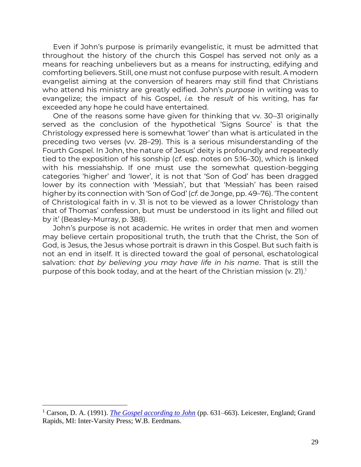Even if John's purpose is primarily evangelistic, it must be admitted that throughout the history of the church this Gospel has served not only as a means for reaching unbelievers but as a means for instructing, edifying and comforting believers. Still, one must not confuse purpose with result. A modern evangelist aiming at the conversion of hearers may still find that Christians who attend his ministry are greatly edified. John's *purpose* in writing was to evangelize; the impact of his Gospel, *i.e.* the *result* of his writing, has far exceeded any hope he could have entertained.

One of the reasons some have given for thinking that vv. 30–31 originally served as the conclusion of the hypothetical 'Signs Source' is that the Christology expressed here is somewhat 'lower' than what is articulated in the preceding two verses (vv. 28–29). This is a serious misunderstanding of the Fourth Gospel. In John, the nature of Jesus' deity is profoundly and repeatedly tied to the exposition of his sonship (*cf.* esp. notes on 5:16–30), which is linked with his messiahship. If one must use the somewhat question-begging categories 'higher' and 'lower', it is not that 'Son of God' has been dragged lower by its connection with 'Messiah', but that 'Messiah' has been raised higher by its connection with 'Son of God' (*cf.* de Jonge, pp. 49–76). 'The content of Christological faith in v. 31 is not to be viewed as a lower Christology than that of Thomas' confession, but must be understood in its light and filled out by it' (Beasley-Murray, p. 388).

John's purpose is not academic. He writes in order that men and women may believe certain propositional truth, the truth that the Christ, the Son of God, is Jesus, the Jesus whose portrait is drawn in this Gospel. But such faith is not an end in itself. It is directed toward the goal of personal, eschatological salvation: *that by believing you may have life in his name*. That is still the purpose of this book today, and at the heart of the Christian mission (v. 21).<sup>1</sup>

<sup>&</sup>lt;sup>1</sup> Carson, D. A. (1991). *[The Gospel according to John](https://ref.ly/logosres/pntcjohn?ref=Bible.Jn20.1-31&off=94909)* (pp. 631–663). Leicester, England; Grand Rapids, MI: Inter-Varsity Press; W.B. Eerdmans.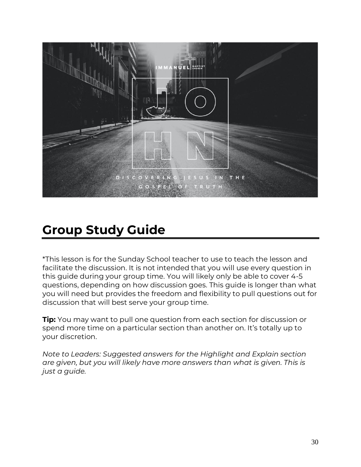

# **Group Study Guide**

\*This lesson is for the Sunday School teacher to use to teach the lesson and facilitate the discussion. It is not intended that you will use every question in this guide during your group time. You will likely only be able to cover 4-5 questions, depending on how discussion goes. This guide is longer than what you will need but provides the freedom and flexibility to pull questions out for discussion that will best serve your group time.

**Tip:** You may want to pull one question from each section for discussion or spend more time on a particular section than another on. It's totally up to your discretion.

*Note to Leaders: Suggested answers for the Highlight and Explain section are given, but you will likely have more answers than what is given. This is just a guide.*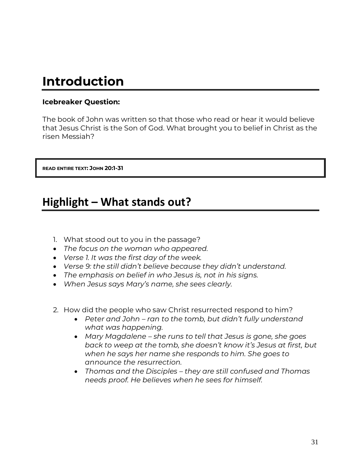## **Introduction**

### **Icebreaker Question:**

The book of John was written so that those who read or hear it would believe that Jesus Christ is the Son of God. What brought you to belief in Christ as the risen Messiah?

**READ ENTIRE TEXT: JOHN 20:1-31**

## **Highlight – What stands out?**

- 1. What stood out to you in the passage?
- *The focus on the woman who appeared.*
- *Verse 1. It was the first day of the week.*
- *Verse 9: the still didn't believe because they didn't understand.*
- *The emphasis on belief in who Jesus is, not in his signs.*
- *When Jesus says Mary's name, she sees clearly.*
- 2. How did the people who saw Christ resurrected respond to him?
	- *Peter and John – ran to the tomb, but didn't fully understand what was happening.*
	- *Mary Magdalene – she runs to tell that Jesus is gone, she goes back to weep at the tomb, she doesn't know it's Jesus at first, but when he says her name she responds to him. She goes to announce the resurrection.*
	- *Thomas and the Disciples – they are still confused and Thomas needs proof. He believes when he sees for himself.*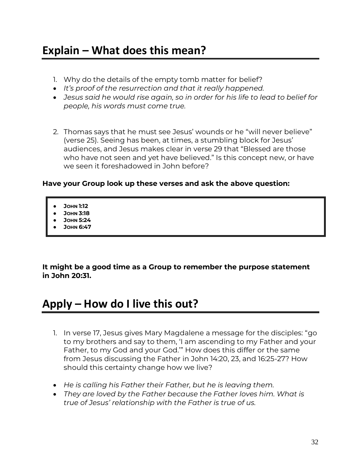## **Explain – What does this mean?**

- 1. Why do the details of the empty tomb matter for belief?
- *It's proof of the resurrection and that it really happened.*
- *Jesus said he would rise again, so in order for his life to lead to belief for people, his words must come true.*
- 2. Thomas says that he must see Jesus' wounds or he "will never believe" (verse 25). Seeing has been, at times, a stumbling block for Jesus' audiences, and Jesus makes clear in verse 29 that "Blessed are those who have not seen and yet have believed." Is this concept new, or have we seen it foreshadowed in John before?

### **Have your Group look up these verses and ask the above question:**

- **JOHN 1:12**
- **JOHN 3:18**
- **JOHN 5:24**
- **JOHN 6:47**

**It might be a good time as a Group to remember the purpose statement in John 20:31.**

## **Apply – How do I live this out?**

- 1. In verse 17, Jesus gives Mary Magdalene a message for the disciples: "go to my brothers and say to them, 'I am ascending to my Father and your Father, to my God and your God.'" How does this differ or the same from Jesus discussing the Father in John 14:20, 23, and 16:25-27? How should this certainty change how we live?
- *He is calling his Father their Father, but he is leaving them.*
- *They are loved by the Father because the Father loves him. What is true of Jesus' relationship with the Father is true of us.*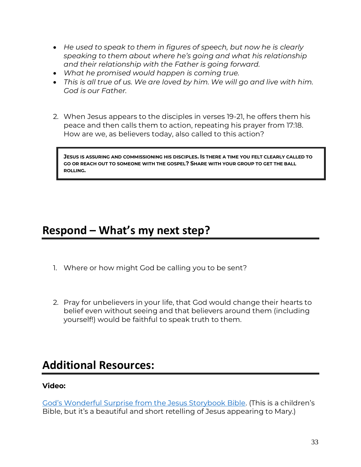- *He used to speak to them in figures of speech, but now he is clearly speaking to them about where he's going and what his relationship and their relationship with the Father is going forward.*
- *What he promised would happen is coming true.*
- *This is all true of us. We are loved by him. We will go and live with him. God is our Father.*
- 2. When Jesus appears to the disciples in verses 19-21, he offers them his peace and then calls them to action, repeating his prayer from 17:18. How are we, as believers today, also called to this action?

**JESUS IS ASSURING AND COMMISSIONING HIS DISCIPLES. IS THERE A TIME YOU FELT CLEARLY CALLED TO GO OR REACH OUT TO SOMEONE WITH THE GOSPEL? SHARE WITH YOUR GROUP TO GET THE BALL ROLLING.**

## **Respond – What's my next step?**

- 1. Where or how might God be calling you to be sent?
- 2. Pray for unbelievers in your life, that God would change their hearts to belief even without seeing and that believers around them (including yourself!) would be faithful to speak truth to them.

### **Additional Resources:**

### **Video:**

[God's Wonderful Surprise from the Jesus Storybook Bible.](https://www.youtube.com/watch?v=Ur3PZoQEGGk) (This is a children's Bible, but it's a beautiful and short retelling of Jesus appearing to Mary.)